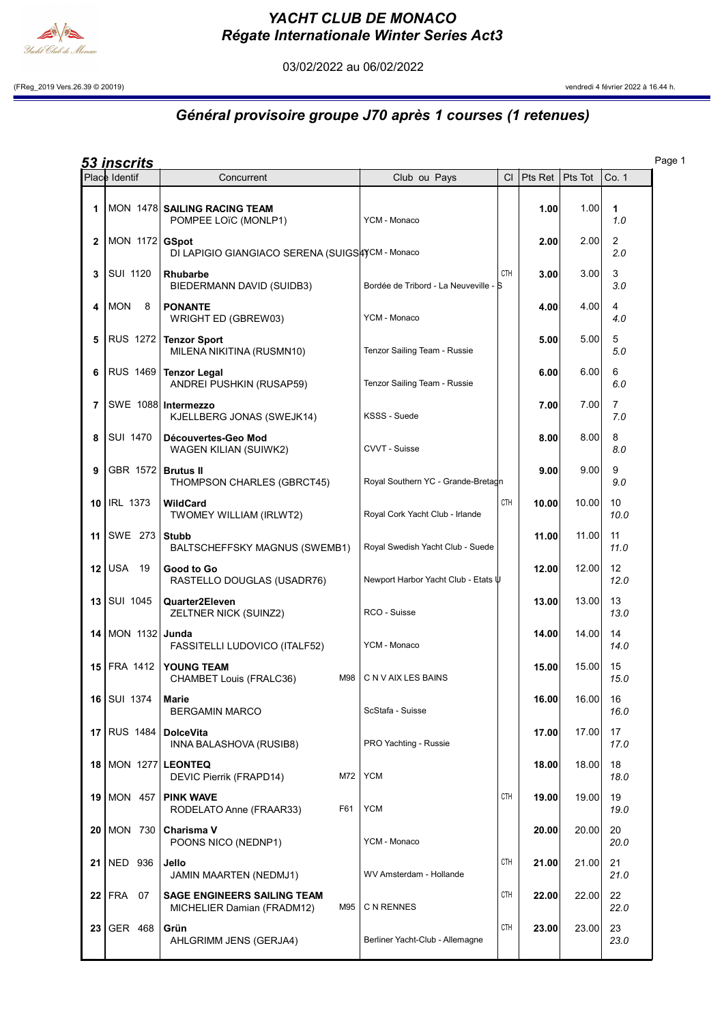

## YACHT CLUB DE MONACO Régate Internationale Winter Series Act3

03/02/2022 au 06/02/2022

(FReg\_2019 Vers.26.39 © 20019) vendredi 4 février 2022 à 16.44 h.

## Général provisoire groupe J70 après 1 courses (1 retenues)

|--|--|

|                 | <u>53 inscrits</u>             |                                                                         |                                       |            |         |          |                           | Page 1 |
|-----------------|--------------------------------|-------------------------------------------------------------------------|---------------------------------------|------------|---------|----------|---------------------------|--------|
|                 | Place Identif                  | Concurrent                                                              | Club ou Pays                          | <b>CI</b>  | Pts Ret | Pts Tot  | Co. 1                     |        |
| 1               |                                | MON 1478 SAILING RACING TEAM<br>POMPEE LOïC (MONLP1)                    | YCM - Monaco                          |            | 1.00    | 1.00     | 1<br>1.0                  |        |
| 2               | MON 1172 GSpot                 | DI LAPIGIO GIANGIACO SERENA (SUIGSAYCM - Monaco                         |                                       |            | 2.00    | 2.00     | $\overline{2}$<br>2.0     |        |
| 3               | SUI 1120                       | Rhubarbe<br>BIEDERMANN DAVID (SUIDB3)                                   | Bordée de Tribord - La Neuveville - S | <b>CTH</b> | 3.00    | 3.00     | 3<br>3.0                  |        |
| 4               | <b>MON</b><br>- 8              | <b>PONANTE</b><br>WRIGHT ED (GBREW03)                                   | YCM - Monaco                          |            | 4.00    | 4.00     | 4<br>4.0                  |        |
| 5               |                                | RUS 1272 Tenzor Sport<br>MILENA NIKITINA (RUSMN10)                      | Tenzor Sailing Team - Russie          |            | 5.00    | 5.00     | 5<br>5.0                  |        |
| 6               | RUS 1469                       | <b>Tenzor Legal</b><br>ANDREI PUSHKIN (RUSAP59)                         | Tenzor Sailing Team - Russie          |            | 6.00    | 6.00     | 6<br>6.0                  |        |
| 7               |                                | SWE 1088 Intermezzo<br>KJELLBERG JONAS (SWEJK14)                        | KSSS - Suede                          |            | 7.00    | 7.00     | $\overline{7}$<br>7.0     |        |
| 8               | SUI 1470                       | Découvertes-Geo Mod<br>WAGEN KILIAN (SUIWK2)                            | CVVT - Suisse                         |            | 8.00    | 8.00     | 8<br>8.0                  |        |
| 9               | GBR 1572 Brutus II             | THOMPSON CHARLES (GBRCT45)                                              | Royal Southern YC - Grande-Bretagn    |            | 9.00    | 9.00     | 9<br>9.0                  |        |
| 10 <sup>1</sup> | <b>IRL 1373</b>                | WildCard<br>TWOMEY WILLIAM (IRLWT2)                                     | Royal Cork Yacht Club - Irlande       | <b>CTH</b> | 10.00   | 10.00    | 10<br>10.0                |        |
| 11              | SWE 273   Stubb                | BALTSCHEFFSKY MAGNUS (SWEMB1)                                           | Royal Swedish Yacht Club - Suede      |            | 11.00   | 11.00    | 11<br>11.0                |        |
|                 | $12$ USA 19                    | Good to Go<br>RASTELLO DOUGLAS (USADR76)                                | Newport Harbor Yacht Club - Etats U   |            | 12.00   | 12.00    | $12 \overline{ }$<br>12.0 |        |
|                 | $13$ SUI 1045                  | Quarter2Eleven<br>ZELTNER NICK (SUINZ2)                                 | RCO - Suisse                          |            | 13.00   | 13.00    | 13<br>13.0                |        |
| 14              | MON 1132 Junda                 | FASSITELLI LUDOVICO (ITALF52)                                           | YCM - Monaco                          |            | 14.00   | 14.00    | 14<br>14.0                |        |
|                 | <b>15 FRA 1412</b>             | <b>YOUNG TEAM</b><br>M98<br>CHAMBET Louis (FRALC36)                     | C N V AIX LES BAINS                   |            | 15.00   | 15.00    | 15<br>15.0                |        |
|                 | 16   SUI 1374   Marie          | <b>BERGAMIN MARCO</b>                                                   | ScStafa - Suisse                      |            | 16.00   | 16.00 16 | 16.0                      |        |
|                 | 17 RUS 1484   DolceVita        | INNA BALASHOVA (RUSIB8)                                                 | PRO Yachting - Russie                 |            | 17.00   | 17.00    | 17<br>17.0                |        |
|                 | <b>18   MON 1277   LEONTEQ</b> | DEVIC Pierrik (FRAPD14)<br>M72                                          | <b>YCM</b>                            |            | 18.00   | 18.00    | 18<br>18.0                |        |
|                 | <b>19 MON 457</b>              | <b>PINK WAVE</b><br>RODELATO Anne (FRAAR33)<br>F61                      | <b>YCM</b>                            | CTH        | 19.00   | 19.00    | 19<br>19.0                |        |
|                 | <b>20 MON 730</b>              | Charisma V<br>POONS NICO (NEDNP1)                                       | YCM - Monaco                          |            | 20.00   | 20.00    | 20<br>20.0                |        |
|                 | 21 NED 936                     | Jello<br>JAMIN MAARTEN (NEDMJ1)                                         | WV Amsterdam - Hollande               | CTH        | 21.00   | 21.00    | 21<br>21.0                |        |
|                 | $22$ FRA 07                    | <b>SAGE ENGINEERS SAILING TEAM</b><br>M95<br>MICHELIER Damian (FRADM12) | C N RENNES                            | CTH        | 22.00   | 22.00    | 22<br>22.0                |        |
|                 | 23 GER 468                     | Grün<br>AHLGRIMM JENS (GERJA4)                                          | Berliner Yacht-Club - Allemagne       | CTH        | 23.00   | 23.00    | 23<br>23.0                |        |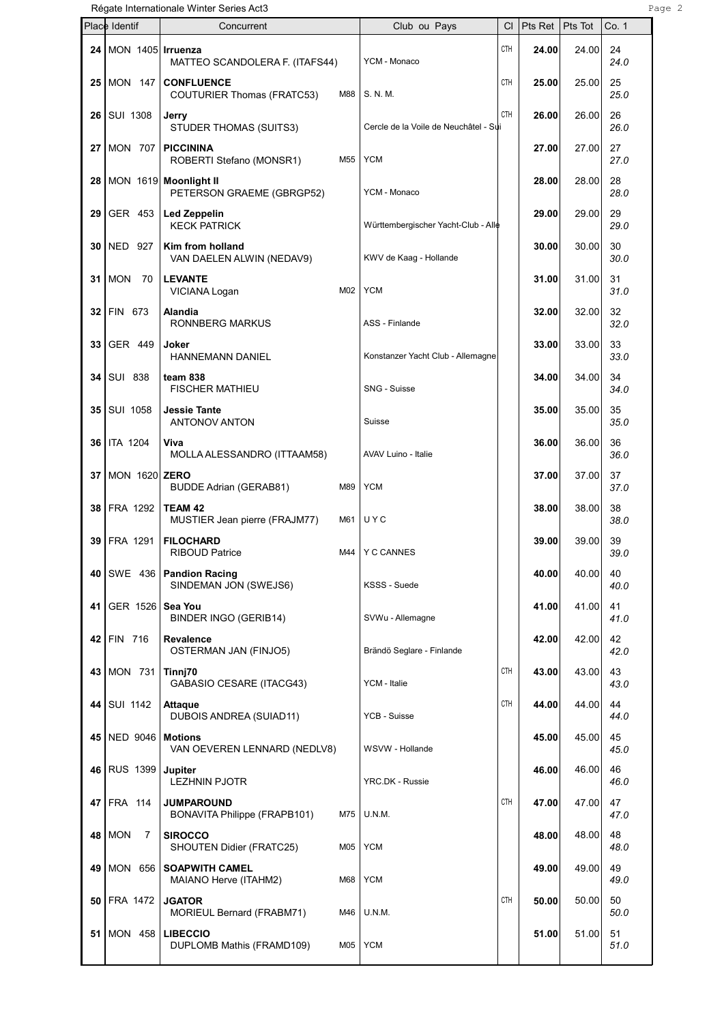Régate Internationale Winter Series Act3 **Page 2** Page 2

|      | Place Identif               | Concurrent                                                                              | Club ou Pays                          | СI         | Pts Ret        | Pts Tot        | Co. 1              |
|------|-----------------------------|-----------------------------------------------------------------------------------------|---------------------------------------|------------|----------------|----------------|--------------------|
|      |                             | 24   MON 1405   Irruenza<br>MATTEO SCANDOLERA F. (ITAFS44)                              | YCM - Monaco                          | <b>CTH</b> | 24.00          | 24.00          | 24<br>24.0         |
|      |                             | 25   MON 147   CONFLUENCE<br>COUTURIER Thomas (FRATC53)<br>M88                          | S. N. M.                              | CTH        | 25.00          | 25.00          | 25<br>25.0         |
|      | 26   SUI 1308               | Jerry<br>STUDER THOMAS (SUITS3)                                                         | Cercle de la Voile de Neuchâtel - Sui | <b>CTH</b> | 26.00          | 26.00          | 26<br>26.0         |
| 27   | MON 707                     | <b>PICCININA</b><br>M55<br>ROBERTI Stefano (MONSR1)                                     | <b>YCM</b>                            |            | 27.00          | 27.00          | 27<br>27.0         |
|      |                             | 28 MON 1619 Moonlight II<br>PETERSON GRAEME (GBRGP52)                                   | YCM - Monaco                          |            | 28.00          | 28.00          | 28<br>28.0         |
|      |                             | $29$ GER 453 Led Zeppelin<br><b>KECK PATRICK</b>                                        | Württembergischer Yacht-Club - Alle   |            | 29.00          | 29.00          | 29<br>29.0         |
|      | 30   NED 927                | Kim from holland<br>VAN DAELEN ALWIN (NEDAV9)                                           | KWV de Kaag - Hollande                |            | 30.00          | 30.00          | 30<br>30.0         |
| ا 31 | MON<br>- 70                 | <b>LEVANTE</b><br>M02<br>VICIANA Logan                                                  | <b>YCM</b>                            |            | 31.00          | 31.00          | 31<br>31.0         |
|      | 32 FIN 673                  | Alandia<br>RONNBERG MARKUS                                                              | ASS - Finlande                        |            | 32.00          | 32.00          | 32<br>32.0         |
| 33   | GER 449                     | Joker<br>HANNEMANN DANIEL                                                               | Konstanzer Yacht Club - Allemagne     |            | 33.00          | 33.00          | 33<br>33.0         |
|      | 34 SUI 838<br>35   SUI 1058 | team 838<br><b>FISCHER MATHIEU</b>                                                      | SNG - Suisse                          |            | 34.00          | 34.00<br>35.00 | 34<br>34.0<br>35   |
| 36   | <b>ITA 1204</b>             | <b>Jessie Tante</b><br>ANTONOV ANTON<br>Viva                                            | Suisse                                |            | 35.00<br>36.00 | 36.00          | 35.0<br>36         |
| 37 I | MON 1620 ZERO               | MOLLA ALESSANDRO (ITTAAM58)                                                             | AVAV Luino - Italie                   |            | 37.00          | 37.00          | 36.0<br>37         |
|      | 38 FRA 1292                 | M89<br><b>BUDDE Adrian (GERAB81)</b><br>TEAM 42                                         | <b>YCM</b>                            |            | 38.00          | 38.00          | 37.0<br>38         |
| 39   | FRA 1291                    | MUSTIER Jean pierre (FRAJM77)<br>M61<br><b>FILOCHARD</b>                                | UYC                                   |            | 39.00          | 39.00          | 38.0<br>39         |
| 40   |                             | M44<br><b>RIBOUD Patrice</b><br>SWE 436   Pandion Racing                                | <b>Y C CANNES</b>                     |            | 40.00          | 40.00          | 39.0<br>40         |
| 41   | GER 1526                    | SINDEMAN JON (SWEJS6)<br>Sea You                                                        | KSSS - Suede                          |            | 41.00          | 41.00          | 40.0<br>41         |
|      | 42 FIN 716                  | BINDER INGO (GERIB14)<br>Revalence                                                      | SVWu - Allemagne                      |            | 42.00          | 42.00          | 41.0<br>42         |
|      | 43 MON 731                  | OSTERMAN JAN (FINJO5)<br>Tinnj70                                                        | Brändö Seglare - Finlande             | CTH        | 43.00          | 43.00          | 42.0<br>43         |
|      | 44 SUI 1142                 | <b>GABASIO CESARE (ITACG43)</b><br><b>Attaque</b>                                       | YCM - Italie                          | CTH        | 44.00          | 44.00          | 43.0<br>44         |
| 45   | NED 9046                    | DUBOIS ANDREA (SUIAD11)<br><b>Motions</b>                                               | YCB - Suisse                          |            | 45.00          | 45.00          | 44.0<br>45         |
|      | 46 RUS 1399                 | VAN OEVEREN LENNARD (NEDLV8)<br><b>Jupiter</b>                                          | WSVW - Hollande                       |            | 46.00          | 46.00          | 45.0<br>46         |
|      | 47 FRA 114                  | <b>LEZHNIN PJOTR</b><br><b>JUMPAROUND</b>                                               | YRC.DK - Russie                       | <b>CTH</b> | 47.00          | 47.00          | 46.0<br>47         |
|      | 48   MON<br>7               | M75<br>BONAVITA Philippe (FRAPB101)<br><b>SIROCCO</b>                                   | U.N.M.                                |            | 48.00          | 48.00          | 47.0<br>48         |
| 49   | MON 656                     | M05<br>SHOUTEN Didier (FRATC25)<br><b>SOAPWITH CAMEL</b>                                | <b>YCM</b>                            |            | 49.00          | 49.00          | 48.0<br>49         |
|      | 50   FRA 1472               | M68<br>MAIANO Herve (ITAHM2)<br><b>JGATOR</b>                                           | <b>YCM</b>                            | CTH        | 50.00          | 50.00          | 49.0<br>50         |
|      | 51   MON 458                | MORIEUL Bernard (FRABM71)<br>M46<br><b>LIBECCIO</b><br>M05<br>DUPLOMB Mathis (FRAMD109) | U.N.M.<br><b>YCM</b>                  |            | 51.00          | 51.00          | 50.0<br>51<br>51.0 |
|      |                             |                                                                                         |                                       |            |                |                |                    |